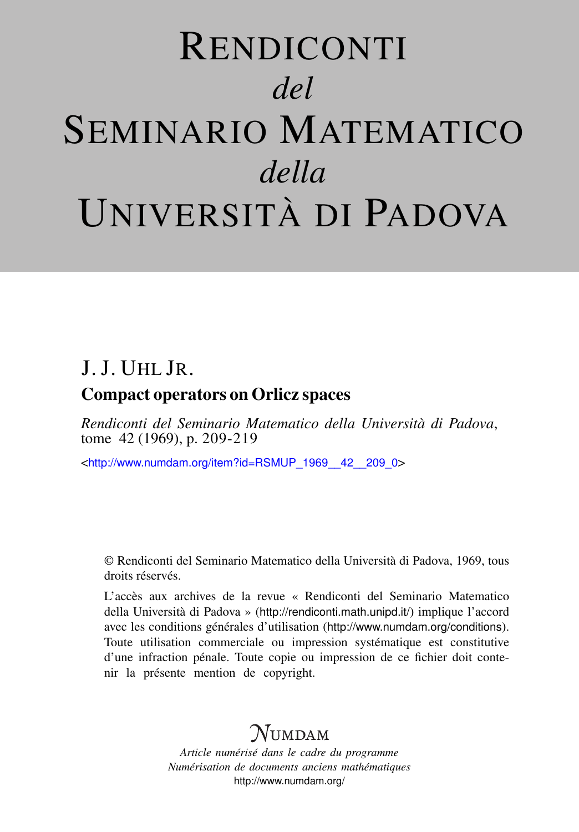# RENDICONTI *del* SEMINARIO MATEMATICO *della* UNIVERSITÀ DI PADOVA

## J. J. UHL JR.

### Compact operators on Orlicz spaces

*Rendiconti del Seminario Matematico della Università di Padova*, tome 42 (1969), p. 209-219

<[http://www.numdam.org/item?id=RSMUP\\_1969\\_\\_42\\_\\_209\\_0](http://www.numdam.org/item?id=RSMUP_1969__42__209_0)>

© Rendiconti del Seminario Matematico della Università di Padova, 1969, tous droits réservés.

L'accès aux archives de la revue « Rendiconti del Seminario Matematico della Università di Padova » (<http://rendiconti.math.unipd.it/>) implique l'accord avec les conditions générales d'utilisation (<http://www.numdam.org/conditions>). Toute utilisation commerciale ou impression systématique est constitutive d'une infraction pénale. Toute copie ou impression de ce fichier doit contenir la présente mention de copyright.

## $\mathcal{N}$ umdam

*Article numérisé dans le cadre du programme Numérisation de documents anciens mathématiques* <http://www.numdam.org/>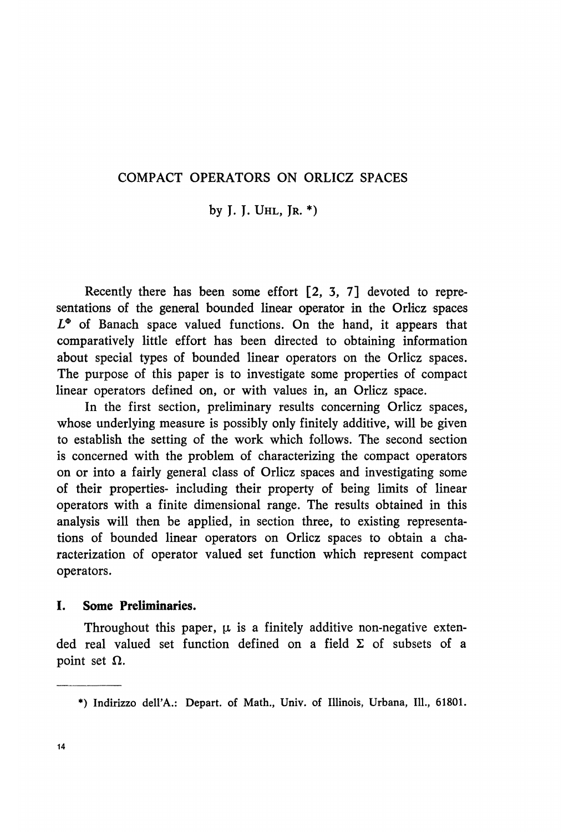#### COMPACT OPERATORS ON ORLICZ SPACES

by J. J. UHL, JR. \*)

Recently there has been some effort [2, 3, 7] devoted to representations of the general bounded linear operator in the Orlicz spaces  $L^{\Phi}$  of Banach space valued functions. On the hand, it appears that comparatively little effort has been directed to obtaining information about special types of bounded linear operators on the Orlicz spaces. The purpose of this paper is to investigate some properties of compact linear operators defined on, or with values in, an Orlicz space.

In the first section, preliminary results concerning Orlicz spaces, whose underlying measure is possibly only finitely additive, will be given to establish the setting of the work which follows. The second section is concerned with the problem of characterizing the compact operators on or into a fairly general class of Orlicz spaces and investigating some of their properties- including their property of being limits of linear operators with a finite dimensional range. The results obtained in this analysis will then be applied, in section three, to existing representations of bounded linear operators on Orlicz spaces to obtain a characterization of operator valued set function which represent compact operators.

#### I. Some Preliminaries.

Throughout this paper,  $\mu$  is a finitely additive non-negative extended real valued set function defined on a field  $\Sigma$  of subsets of a point set  $\Omega$ .

<sup>\*)</sup> Indirizzo dell'A.: Depart. of Math., Univ. of Illinois, Urbana, 111., 61801.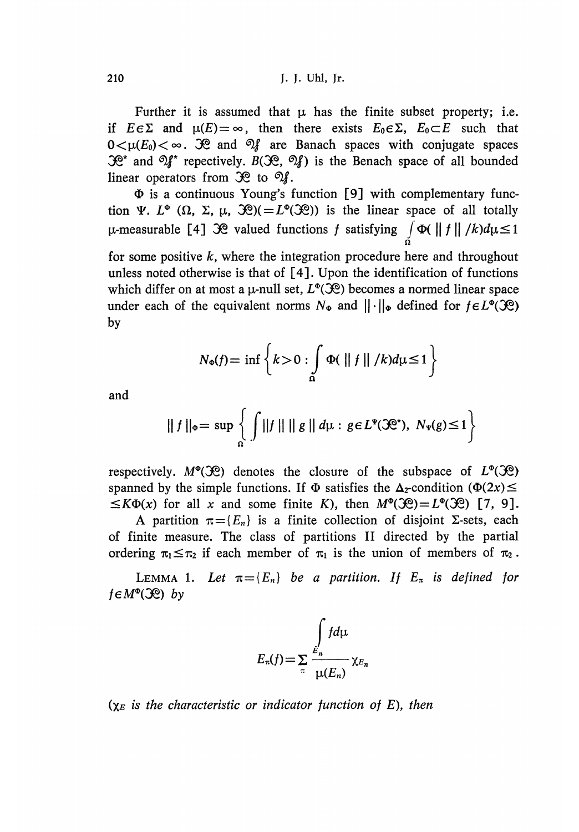Further it is assumed that  $\mu$  has the finite subset property; i.e. if  $E \in \Sigma$  and  $\mu(E) = \infty$ , then there exists  $E_0 \in \Sigma$ ,  $E_0 \subset E$  such that  $0 \lt \mu(E_0) \lt \infty$ .  $\mathcal{R}$  and  $\mathcal{Q}_f$  are Banach spaces with conjugate spaces  $\mathcal{R}^*$  and  $\mathcal{M}^*$  repectively.  $B(\mathcal{R}, \mathcal{M})$  is the Benach space of all bounded linear operators from  $\mathcal{R}$  to  $\mathcal{A}$ .

 $\Phi$  is a continuous Young's function [9] with complementary function  $\Psi$ .  $L^{\Phi}(\Omega, \Sigma, \mu, \mathcal{R}) (= L^{\Phi}(\mathcal{R}))$  is the linear space of all totally  $\mu$ -measurable [4]  $\mathcal{R}$  valued functions f satisfying  $\int \Phi(\|f\|/k) d\mu \leq 1$ for some positive  $k$ , where the integration procedure here and throughout

unless noted otherwise is that of [4]. Upon the identification of functions which differ on at most a  $\mu$ -null set,  $L^{\Phi}(\mathcal{X})$  becomes a normed linear space under each of the equivalent norms  $N_{\Phi}$  and  $||\cdot||_{\Phi}$  defined for  $f \in L^{\Phi}(\mathcal{R})$ by

$$
N_{\Phi}(f) = \inf \left\{ k > 0 : \int\limits_{\Omega} \Phi(\parallel f \parallel / k) d\mu \le 1 \right\}
$$

and

$$
\|f\|_{\Phi}=\sup\left\{\int\|f\|\,\|\,g\|\,d\mu:g\in L^{\Psi}(\mathfrak{H}^*),\;N_{\Psi}(g)\leq 1\right\}
$$

respectively.  $M^{\circ}(\mathcal{X})$  denotes the closure of the subspace of  $L^{\circ}(\mathcal{X})$ spanned by the simple functions. If  $\Phi$  satisfies the  $\Delta_2$ -condition ( $\Phi(2x)$   $\leq$  $f(X \Phi(x))$  for all x and some finite K), then  $M^{\Phi}(\mathcal{R}) = L^{\Phi}(\mathcal{R})$  [7, 9].

A partition  $\pi = \{ E_n \}$  is a finite collection of disjoint  $\Sigma$ -sets, each of finite measure. The class of partitions II directed by the partial ordering  $\pi_1 \leq \pi_2$  if each member of  $\pi_1$  is the union of members of  $\pi_2$ .

LEMMA 1. Let  $\pi = \{E_n\}$  be a partition. If  $E_\pi$  is defined for  $f \in M^{\Phi}(\mathfrak{H})$  by

$$
E_{\pi}(f) = \sum_{\pi} \frac{\int_{E_n} f d\mu}{\mu(E_n)} \chi_{E_n}
$$

 $(\chi_E$  is the characteristic or indicator function of E), then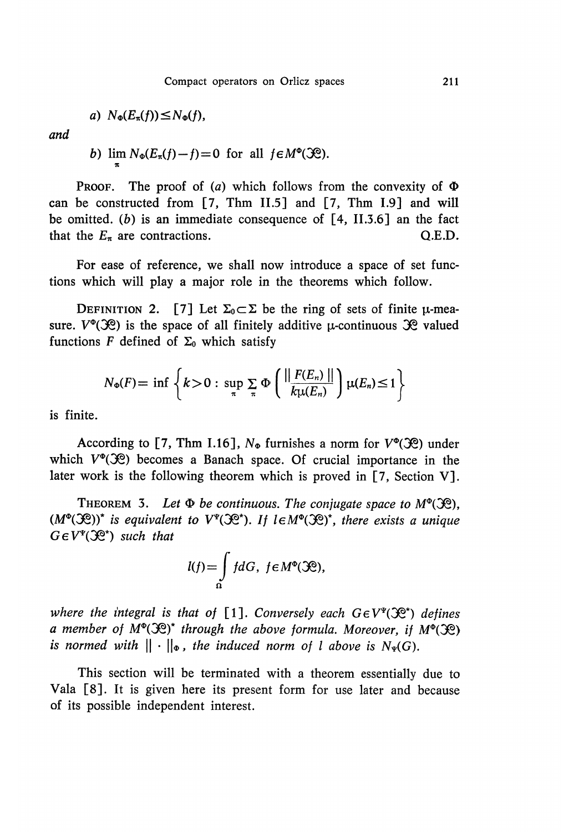$$
a) N_{\Phi}(E_{\pi}(f)) \leq N_{\Phi}(f),
$$

and

b) 
$$
\lim_{\pi} N_{\Phi}(E_{\pi}(f)-f)=0
$$
 for all  $f \in M^{\Phi}(\mathfrak{H})$ .

**PROOF.** The proof of (a) which follows from the convexity of  $\Phi$ can be constructed from [7, Thm 11.5] and [7, Thm 1.9] and will be omitted. (b) is an immediate consequence of  $[4, II.3.6]$  an the fact that the  $E_{\pi}$  are contractions. Q.E.D.

For ease of reference, we shall now introduce a space of set functions which will play a major role in the theorems which follow.

DEFINITION 2. [7] Let  $\Sigma_0 \subset \Sigma$  be the ring of sets of finite  $\mu$ -measure.  $V^{\phi}(\mathcal{X})$  is the space of all finitely additive  $\mu$ -continuous  $\mathcal{X}$  valued functions F defined of  $\Sigma_0$  which satisfy

$$
N_{\Phi}(F) = \inf \left\{ k > 0 : \sup_{\pi} \sum_{\pi} \Phi \left( \frac{\| F(E_n) \|}{k \mu(E_n)} \right) \mu(E_n) \le 1 \right\}
$$

is finite.

According to [7, Thm I.16],  $N_{\Phi}$  furnishes a norm for  $V^{\Phi}(\mathcal{R})$  under which  $V^{\phi}(\mathcal{R})$  becomes a Banach space. Of crucial importance in the later work is the following theorem which is proved in  $[7,$  Section V].

THEOREM 3. Let  $\Phi$  be continuous. The conjugate space to  $M^{\Phi}(\mathcal{R})$ .  $(M^{\Phi}({\mathcal{R}}))^*$  is equivalent to  $V^{\Psi}({\mathcal{R}}^*)$ . If  $l \in M^{\Phi}({\mathcal{R}})^*$ , there exists a unique  $G \in V^{\Psi}(\mathcal{R}^*)$  such that

$$
l(f) = \int\limits_{\Omega} f dG, \ f \in M^{\Phi}(\mathfrak{H}),
$$

where the integral is that of [1]. Conversely each  $G \in V^{\Psi}(\mathcal{X}^{\Phi})$  defines a member of  $M^{\circ}(\mathcal{R})^*$  through the above formula. Moreover, if  $M^{\circ}(\mathcal{R})$ is normed with  $\|\cdot\|_{\Phi}$ , the induced norm of l above is  $N_{\Psi}(G)$ .

This section will be terminated with a theorem essentially due to Vala [8]. It is given here its present form for use later and because of its possible independent interest.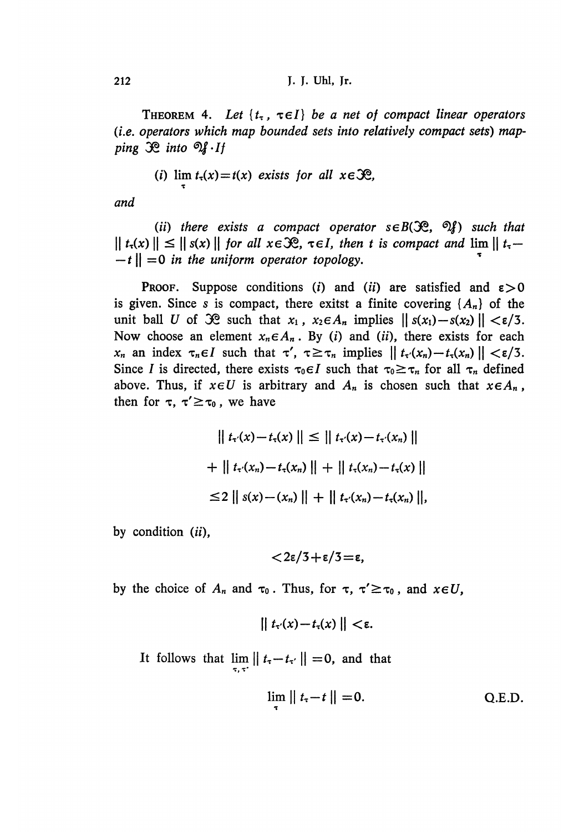THEOREM 4. Let  $\{t_{\tau}, \tau \in I\}$  be a net of compact linear operators (i.e. operators which map bounded sets into relatively compact sets) mapping  $\mathcal{R}$  into  $\mathcal{A} \cdot I$  f

(i) 
$$
\lim t_{\tau}(x) = t(x)
$$
 exists for all  $x \in \mathcal{R}$ ,

and

(ii) there exists a compact operator  $s \in B(\mathcal{R}, \mathcal{Q})$  such that  $||t_1(x)|| \leq ||s(x)||$  for all  $x \in \mathcal{R}$ ,  $\tau \in I$ , then t is compact and  $\lim ||t_1 -t \parallel = 0$  in the uniform operator topology.

**PROOF.** Suppose conditions (i) and (ii) are satisfied and  $\varepsilon > 0$ is given. Since s is compact, there exitst a finite covering  $\{A_n\}$  of the unit ball U of  $\mathcal{R}$  such that  $x_1$ ,  $x_2 \in A_n$  implies  $||s(x_1)-s(x_2)|| < \varepsilon/3$ . Now choose an element  $x_n \in A_n$ . By (i) and (ii), there exists for each  $x_n$  an index  $\tau_n \in I$  such that  $\tau'$ ,  $\tau \geq \tau_n$  implies  $|| t_\tau(x_n) - t_\tau(x_n) || < \varepsilon/3$ . Since I is directed, there exists  $\tau_0 \in I$  such that  $\tau_0 \geq \tau_n$  for all  $\tau_n$  defined above. Thus, if  $x \in U$  is arbitrary and  $A_n$  is chosen such that  $x \in A_n$ , then for  $\tau$ ,  $\tau' \geq \tau_0$ , we have

$$
|| \ t_{\tau'}(x) - t_{\tau}(x) || \le || \ t_{\tau'}(x) - t_{\tau'}(x_n) ||
$$
  
+ 
$$
|| \ t_{\tau'}(x_n) - t_{\tau}(x_n) || + || \ t_{\tau}(x_n) - t_{\tau}(x) ||
$$
  

$$
\le 2 || \ s(x) - (x_n) || + || \ t_{\tau'}(x_n) - t_{\tau}(x_n) ||,
$$

by condition (ii),

$$
<\!2\varepsilon/3+\varepsilon/3\!=\!\varepsilon,
$$

by the choice of  $A_n$  and  $\tau_0$ . Thus, for  $\tau$ ,  $\tau' \geq \tau_0$ , and  $x \in U$ ,

$$
\| t_{\tau'}(x) - t_{\tau}(x) \| < \varepsilon.
$$

It follows that  $\lim_{\tau, \tau'} || t_{\tau} - t_{\tau'} || = 0$ , and that

$$
\lim_{\tau} \| t_{\tau} - t \| = 0. \qquad \text{Q.E.D.}
$$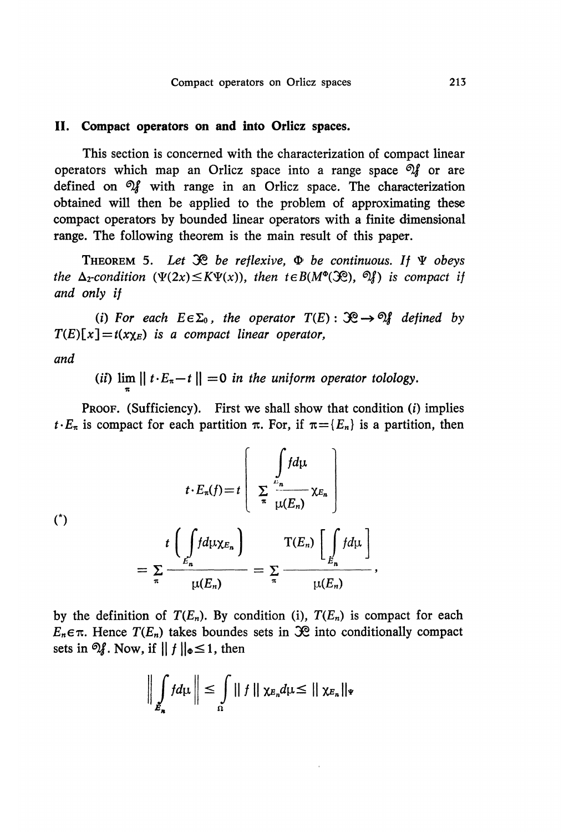#### II. Compact operators on and into Orlicz spaces.

This section is concerned with the characterization of compact linear operators which map an Orlicz space into a range space  $\mathcal{A}$  or are defined on  $\mathcal{U}$  with range in an Orlicz space. The characterization obtained will then be applied to the problem of approximating these compact operators by bounded linear operators with a finite dimensional range. The following theorem is the main result of this paper.

THEOREM 5. Let  $\mathcal{R}$  be reflexive,  $\Phi$  be continuous. If  $\Psi$  obeys the  $\Delta_2$ -condition  $(\Psi(2x) \leq K \Psi(x))$ , then  $t \in B(M^{\circ}(\mathcal{X}))$ ,  $\mathcal{Y}$ ) is compact if and only if

(i) For each  $E \in \Sigma_0$ , the operator  $T(E) : \mathcal{R} \to \mathcal{R}$  defined by  $T(E)[x] = t(x \chi_E)$  is a compact linear operator,

and

(ii)  $\lim_{n \to \infty} ||t \cdot E_n - t|| = 0$  in the uniform operator tolology.

PROOF. (Sufficiency). First we shall show that condition (i) implies  $t \cdot E_{\pi}$  is compact for each partition  $\pi$ . For, if  $\pi = \{E_n\}$  is a partition, then

$$
t \cdot E_{\pi}(f) = t \left[ \sum_{\substack{n}{k} \neq n} \frac{\int f d\mu}{\mu(E_n)} \chi_{E_n} \right]
$$
  

$$
= \sum_{\pi} \frac{t \left( \int f d\mu \chi_{E_n} \right)}{\mu(E_n)} = \sum_{\pi} \frac{T(E_n) \left[ \int \int E_n d\mu \right]}{\mu(E_n)},
$$

by the definition of  $T(E_n)$ . By condition (i),  $T(E_n)$  is compact for each  $E_n \in \pi$ . Hence  $T(E_n)$  takes boundes sets in  $\mathcal{R}$  into conditionally compact sets in  $\mathfrak{A}$ . Now, if  $|| f ||_{\Phi} \leq 1$ , then

$$
\bigg\|\int\limits_{E_n} f d\mu\bigg\| \leq \int\limits_{\Omega} \|\,f\,\|\,\chi_{E_n} d\mu \leq \|\,\chi_{E_n}\|_{\Psi}
$$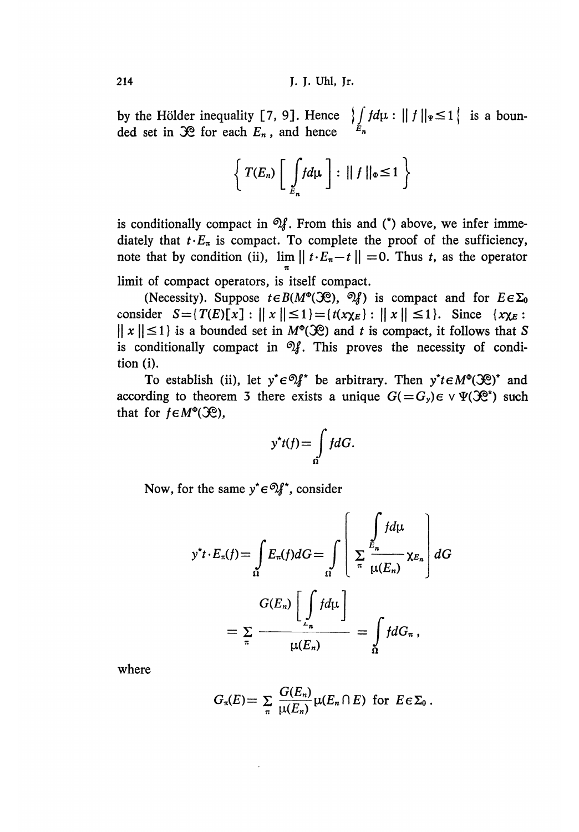by the Hölder inequality [7, 9]. Hence  $\int_{F_1} f d\mu : || f ||_{\Psi} \le 1$  is a bounded set in  $\mathcal{R}$  for each  $E_n$ , and hence

$$
\left\{ T(E_n) \left[ \int\limits_{E_n} f d\mu \right] : || f ||_{\Phi} \le 1 \right\}
$$

is conditionally compact in  $\mathfrak{A}$ . From this and (\*) above, we infer immediately that  $t \cdot E_{\pi}$  is compact. To complete the proof of the sufficiency, note that by condition (ii),  $\lim ||t \cdot E_{\pi} - t|| = 0$ . Thus t, as the operator 7C limit of compact operators, is itself compact.

(Necessity). Suppose  $t \in B(M^{\circ}(\mathcal{R}), \mathcal{Q}_k)$  is compact and for  $E \in \Sigma_0$ consider  $S = \{T(E) \mid x \mid \mid \leq 1\} = \{t(x\chi_E) : \mid \mid x \mid \mid \leq 1\}$ . Since  $\{\chi_{\chi_E} :$  $||x|| \le 1$  is a bounded set in  $M^{\circ}(\mathcal{R})$  and t is compact, it follows that S is conditionally compact in  $\mathfrak{A}$ . This proves the necessity of condition (i).

To establish (ii), let  $y^* \in \mathcal{D}f^*$  be arbitrary. Then  $y^* t \in M^{\circ}(\mathcal{R})^*$  and according to theorem 3 there exists a unique  $G(=G_y)\epsilon \vee \Psi(\mathcal{R}^*)$  such that for  $f \in M^{\circ}(\mathcal{R})$ ,

$$
y^*t(f) = \int\limits_{\Omega} f dG.
$$

Now, for the same  $y^* \in \mathcal{D}f^*$ , consider

$$
y^*t \cdot E_\pi(f) = \int_{\Omega} E_\pi(f) dG = \int_{\Omega} \left[ \sum_{\pi} \frac{\int_{E_n} f d\mu}{\mu(E_n)} \chi_{E_n} \right] dG
$$

$$
= \sum_{\pi} \frac{G(E_n) \left[ \int_{E_n} f d\mu \right]}{\mu(E_n)} = \int_{\Omega} f dG_\pi,
$$

where

$$
G_{\pi}(E) = \sum_{\pi} \frac{G(E_n)}{\mu(E_n)} \mu(E_n \cap E) \text{ for } E \in \Sigma_0.
$$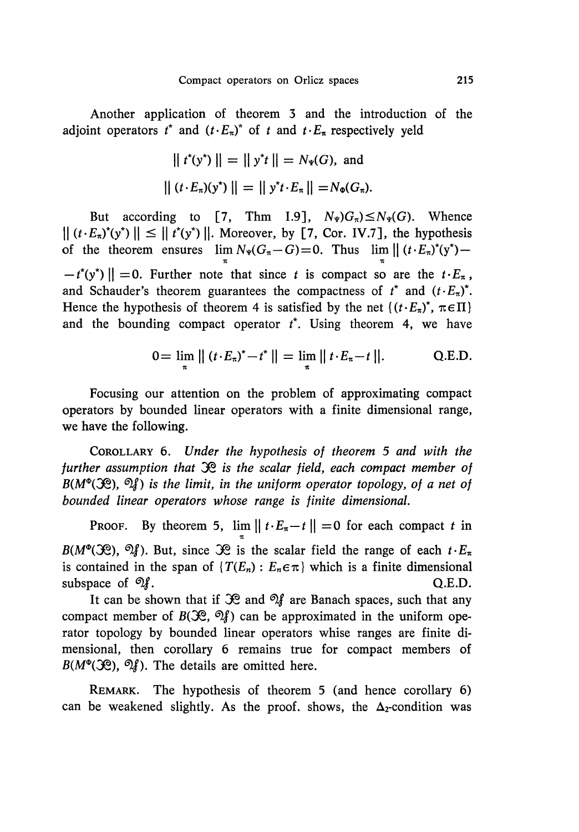Another application of theorem 3 and the introduction of the adjoint operators  $t^*$  and  $(t \cdot E_\pi)^*$  of t and  $t \cdot E_\pi$  respectively yeld

$$
|| t^*(y^*) || = || y^*t || = N_{\Psi}(G)
$$
, and  
 $||(t \cdot E_{\pi})(y^*) || = || y^*t \cdot E_{\pi}|| = N_{\Phi}(G_{\pi}).$ 

But according to [7, Thm 1.9],  $N_{\Psi}$ ) $G_{\pi}$ )  $\leq N_{\Psi}(G)$ . Whence  $|| (t \cdot E_{\pi})^*(y^*) || \le ||t^*(y^*)||$ . Moreover, by [7, Cor. IV.7], the hypothesis of the theorem ensures  $\lim N_{\Psi}(G_{\pi}-G)=0$ . Thus  $\lim ||(t \cdot E_{\pi})^{\ast}(y^{\ast}) -t^*(y^*)$  = 0. Further note that since t is compact so are the  $t \cdot E_{\pi}$ , and Schauder's theorem guarantees the compactness of  $t^*$  and  $(t \cdot E_\pi)^*$ . Hence the hypothesis of theorem 4 is satisfied by the net  $\{ (t \cdot E_\pi)^*$ ,  $\pi \in \Pi \}$ and the bounding compact operator  $t^*$ . Using theorem 4, we have

$$
0 = \lim_{\pi} || (t \cdot E_{\pi})^* - t^* || = \lim_{\pi} || t \cdot E_{\pi} - t ||.
$$
 Q.E.D.

Focusing our attention on the problem of approximating compact operators by bounded linear operators with a finite dimensional range, we have the following.

COROLLARY 6. Under the hypothesis of theorem 5 and with the further assumption that  $\mathcal{R}$  is the scalar field, each compact member of  $B(M^{\circ}(\mathcal{R}), \mathcal{A})$  is the limit, in the uniform operator topology, of a net of bounded linear operators whose range is finite dimensional.

PROOF. By theorem 5,  $\lim ||t \cdot E_{\pi} - t|| = 0$  for each compact t in  $B(M^{\circ}(\mathcal{X}))$ ,  $\mathcal{Y}$ ). But, since  $\mathcal{X}$  is the scalar field the range of each  $t \cdot E_{\pi}$ is contained in the span of  $\{T(E_n): E_n \in \pi\}$  which is a finite dimensional subspace of  $\mathcal{Q}_i$ . Q.E.D.

It can be shown that if  $\mathcal X$  and  $\mathcal Y$  are Banach spaces, such that any compact member of  $B(\mathcal{R}, \mathcal{D})$  can be approximated in the uniform operator topology by bounded linear operators whise ranges are finite dimensional, then corollary 6 remains true for compact members of  $B(M^{\circ}(\mathcal{X}))$ ,  $\mathcal{Y}$ ). The details are omitted here.

REMARK. The hypothesis of theorem 5 (and hence corollary 6) can be weakened slightly. As the proof, shows, the  $\Delta_2$ -condition was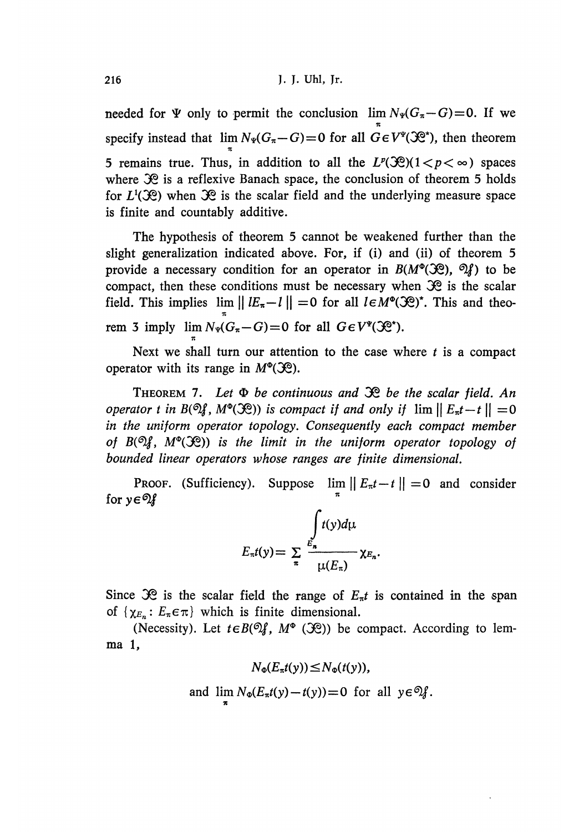needed for  $\Psi$  only to permit the conclusion  $\lim N_{\Psi}(G_{\pi}-G)=0$ . If we  $\pi$ specify instead that  $\lim_{N \to \infty} N_{\Psi}(G_{\pi} - G) = 0$  for all  $G \in V^{\Psi}(\mathcal{X}^*)$ , then theorem 5 remains true. Thus, in addition to all the  $L^p(\mathcal{R})$  ( $1 < p < \infty$ ) spaces where  $\mathcal{R}$  is a reflexive Banach space, the conclusion of theorem 5 holds for  $L^1(\mathcal{R})$  when  $\mathcal{R}$  is the scalar field and the underlying measure space is finite and countably additive.

The hypothesis of theorem 5 cannot be weakened further than the slight generalization indicated above. For, if (i) and (ii) of theorem 5 provide a necessary condition for an operator in  $B(M^{\circ}(\mathcal{R}), \mathcal{Q}_k)$  to be compact, then these conditions must be necessary when  $\mathcal{R}$  is the scalar field. This implies  $\lim ||E_{\pi}-l|| = 0$  for all  $I \in M^{\circ}(\mathcal{R})^*$ . This and theorem 3 imply  $\lim_{\pi} N_{\Psi}(G_{\pi}-G)=0$  for all

Next we shall turn our attention to the case where  $t$  is a compact operator with its range in  $M^{\circ}(\mathcal{X})$ .

THEOREM 7. Let  $\Phi$  be continuous and  $\mathcal{R}$  be the scalar field. An operator t in  $B(\mathfrak{N}, M^{\circ}(\mathfrak{X}))$  is compact if and only if  $\lim || E_{\pi}t-t ||= 0$ in the uniform operator topology. Consequently each compact member of  $B(\mathcal{D}_A^g, M^{\circ}(\mathcal{P}))$  is the limit in the uniform operator topology of bounded linear operators whose ranges are finite dimensional.

PROOF. (Sufficiency). Suppose  $\lim ||E_{\pi}t-t|| = 0$  and consider for  $y \in \mathcal{D}$   $\mathcal{J}$ 

$$
E_{\pi}t(y) = \sum_{\pi} \frac{\int_{E_{\pi}}^{\infty} t(y) d\mu}{\mu(E_{\pi})} \chi_{E_{\pi}}.
$$

Since  $\mathcal{R}$  is the scalar field the range of  $E_{\pi}t$  is contained in the span of  $\{\chi_{E_n}: E_{\pi} \in \pi\}$  which is finite dimensional.

(Necessity). Let  $t \in B(\mathcal{D}f, M^{\circ}(\mathcal{X}))$  be compact. According to lemma 1,

 $N_{\Phi}(E_{\pi}t(y)) \leq N_{\Phi}(t(y)),$ 

and 
$$
\lim_{x \to 0} N_{\Phi}(E_{\pi}t(y) - t(y)) = 0
$$
 for all  $y \in \mathcal{D}_s$ .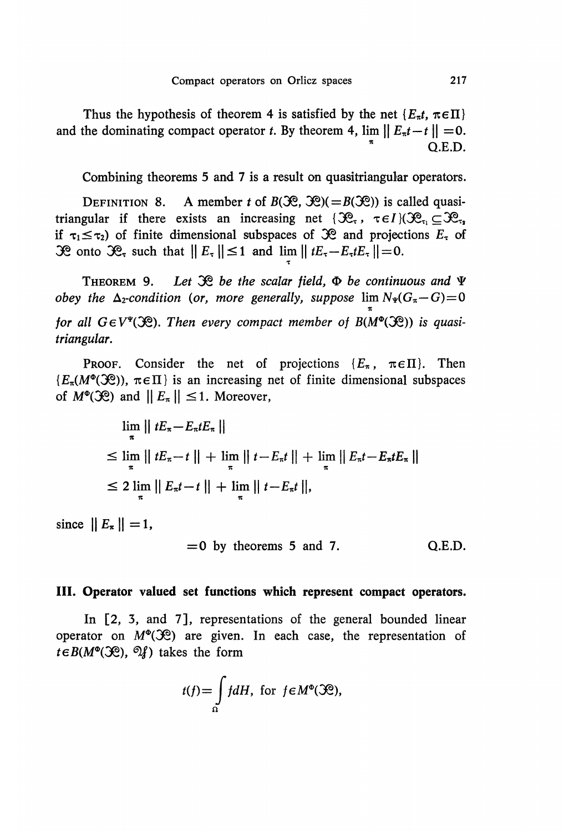Thus the hypothesis of theorem 4 is satisfied by the net  $\{E_{\pi}t, \pi \in \Pi\}$ and the dominating compact operator t. By theorem 4,  $\lim ||E_n t - t|| = 0$ . Q.E.D.

Combining theorems 5 and 7 is a result on quasitriangular operators.

DEFINITION 8. A member t of  $B(\mathcal{R}, \mathcal{R}) (=B(\mathcal{R}))$  is called quasitriangular if there exists an increasing net  $\{\mathcal{R}_{\tau}, \tau \in I\}(\mathcal{R}_{\tau}, \subset \mathcal{R}_{\tau}$ if  $\tau_1 \leq \tau_2$ ) of finite dimensional subspaces of  $\Re$  and projections  $E_\tau$  of 30 onto 30, such that  $||E_\tau|| \le 1$  and  $\lim ||tE_\tau - E_\tau tE_\tau|| = 0$ .

THEOREM 9. Let  $\mathcal{R}$  be the scalar field,  $\Phi$  be continuous and  $\Psi$ obey the  $\Delta_2$ -condition (or, more generally, suppose  $\lim N_*(G_\pi - G) = 0$ for all  $G \in V^*(\mathfrak{H})$ . Then every compact member of  $B(M^{\mathbf{e}}(\mathfrak{H}))$  is quasitriangular.

PROOF. Consider the net of projections  $\{E_\pi, \pi \in \Pi\}$ . Then  $\{E_\pi(M^{\Phi}(\mathcal{X}))\}\$ is an increasing net of finite dimensional subspaces of  $M^{\circ}(\mathfrak{H})$  and  $||E_{\pi}|| \leq 1$ . Moreover,

$$
\lim_{\pi} || tE_{\pi} - E_{\pi}tE_{\pi} ||
$$
\n
$$
\leq \lim_{\pi} || tE_{\pi} - t || + \lim_{\pi} || t - E_{\pi}t || + \lim_{\pi} || E_{\pi}t - E_{\pi}tE_{\pi} ||
$$
\n
$$
\leq 2 \lim_{\pi} || E_{\pi}t - t || + \lim_{\pi} || t - E_{\pi}t ||,
$$

since  $||E_{\pi}||=1$ ,

$$
=0
$$
 by theorems 5 and 7. Q.E.D.

#### III. Operator valued set functions which represent compact operators.

In [2, 3, and 7], representations of the general bounded linear operator on  $M^{\circ}(\mathcal{X})$  are given. In each case, the representation of  $t \in B(M^{\circ}(\mathcal{X}))$ ,  $\mathcal{Y}$  takes the form

$$
t(f) = \int_{\Omega} f dH, \text{ for } f \in M^{\Phi}(\mathfrak{R}),
$$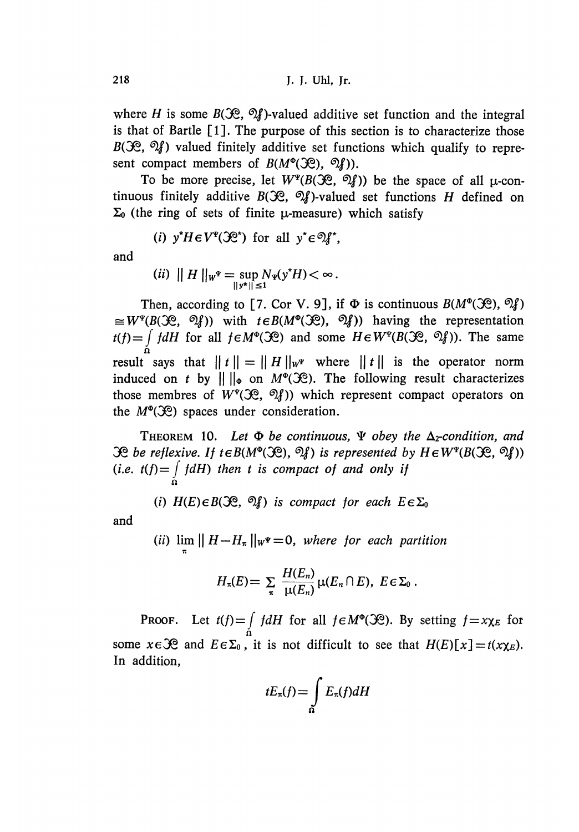where H is some  $B(\mathcal{R}, \mathcal{Q})$ -valued additive set function and the integral is that of Bartle [1]. The purpose of this section is to characterize those  $B(S_1^{\circ}, \mathcal{A})$  valued finitely additive set functions which qualify to represent compact members of  $B(M^{\circ}(\mathcal{X}))$ ,  $\mathcal{Y})$ ).

To be more precise, let  $W^{\Psi}(B(\mathcal{X}), \mathcal{Y}))$  be the space of all  $\mu$ -continuous finitely additive  $B(\mathcal{R}, \mathcal{Q})$ -valued set functions H defined on  $\Sigma_0$  (the ring of sets of finite  $\mu$ -measure) which satisfy

(i) 
$$
y^*H \in V^{\Psi}(\mathcal{R}^*)
$$
 for all  $y^* \in \mathcal{D}f^*$ ,

and

$$
(ii) \|H\|_{W^{\Psi}} = \sup_{\|y^*\| \le 1} N_{\Psi}(y^*H) < \infty.
$$

Then, according to [7. Cor V. 9], if  $\Phi$  is continuous  $B(M^{\circ}(\mathcal{R}), \mathcal{D}_f)$  $\cong W^{\Psi}(B(\mathcal{X}), \mathcal{Y})$  with  $t \in B(M^{\Phi}(\mathcal{X}), \mathcal{Y})$  having the representation  $\int f dH$  for all  $f \in M^{\Phi}(\mathcal{R})$  and some  $H \in W^{\Psi}(B(\mathcal{R}, \mathcal{D}_f))$ . The same result says that  $||t|| = ||H||_{w^{\Psi}}$  where  $||t||$  is the operator norm induced on t by  $\|\cdot\|_{\infty}$  on  $M^{\circ}(\mathcal{X})$ . The following result characterizes those membres of  $W^*(\mathfrak{X}, \mathfrak{A})$  which represent compact operators on the  $M^{\circ}(\mathcal{X})$  spaces under consideration.

THEOREM 10. Let  $\Phi$  be continuous,  $\Psi$  obey the  $\Delta_2$ -condition, and  $\mathcal{R}$  be reflexive. If  $t \in B(M^{\circ}(\mathcal{R}), \mathcal{Q}_f)$  is represented by  $H \in W^*(B(\mathcal{R}, \mathcal{Q}_f))$ (i.e.  $t(f) = \int dt$ ) then t is compact of and only if .0

(i)  $H(E) \in B(\mathcal{X}, \mathcal{Y})$  is compact for each  $E \in \Sigma_0$ 

and

(ii)  $\lim_{\pi}$  ||  $H - H_{\pi}$  || $w^* = 0$ , where for each partition

$$
H_n(E) = \sum_{\pi} \frac{H(E_n)}{\mu(E_n)} \mu(E_n \cap E), \ E \in \Sigma_0.
$$

**PROOF.** Let  $t(f) = \int_{\Omega} f dH$  for all  $f \in M^{\circ}(\mathcal{R})$ . By setting  $f = x \chi_E$  for some  $x \in \mathcal{R}$  and  $E \in \Sigma_0$ , it is not difficult to see that  $H(E)[x] = t(x \chi_E)$ . In addition,

$$
tE_{\pi}(f) = \int_{\Omega} E_{\pi}(f) dH
$$